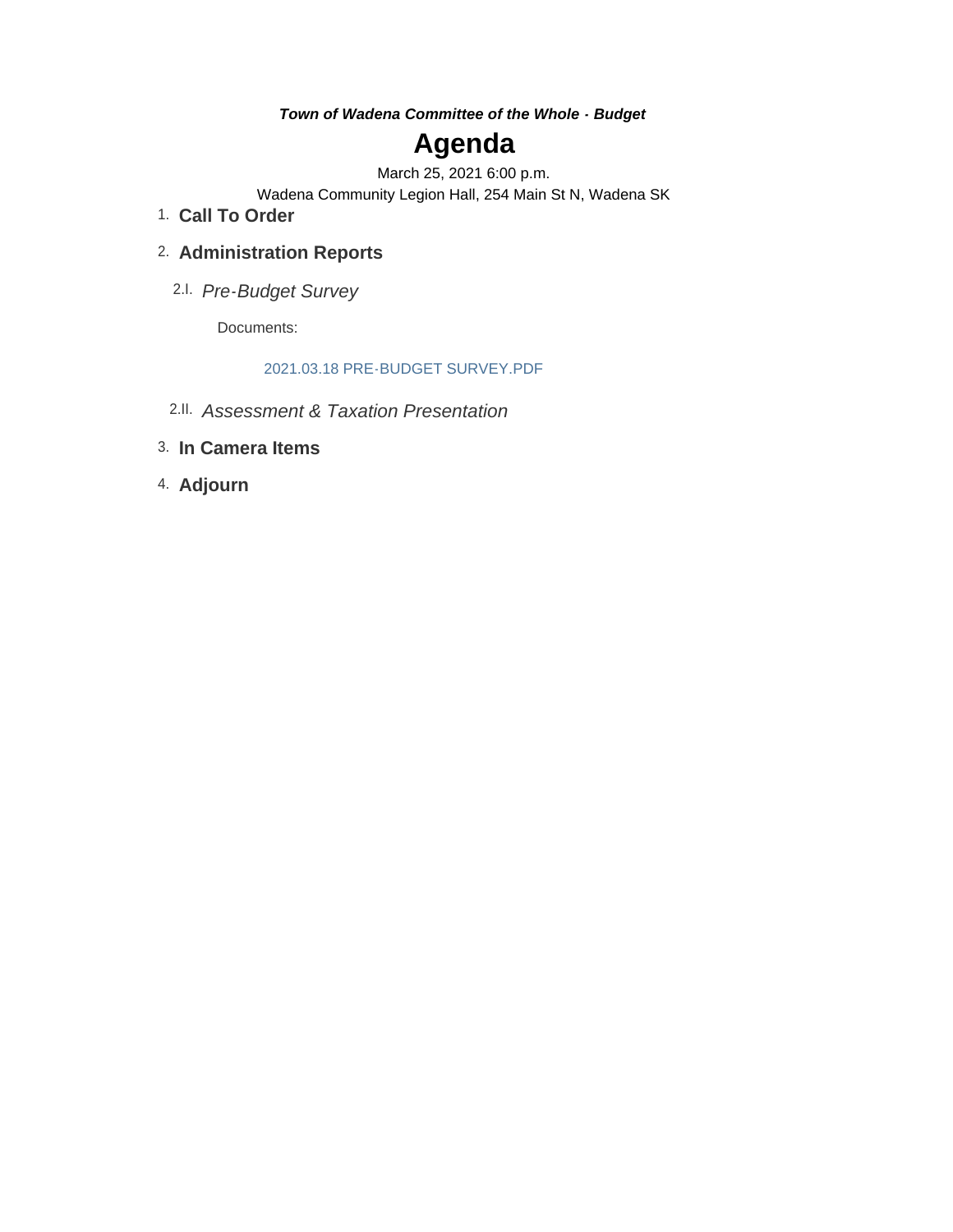*Town of Wadena Committee of the Whole - Budget*

## **Agenda**

March 25, 2021 6:00 p.m.

Wadena Community Legion Hall, 254 Main St N, Wadena SK

**Call To Order** 1.

### **Administration Reports** 2.

*Pre-Budget Survey*  2.I.

Documents:

#### 2021.03.18 PRE-BUDGET SURVEY.PDF

- *Assessment & Taxation Presentation* 2.II.
- **In Camera Items** 3.
- **Adjourn** 4.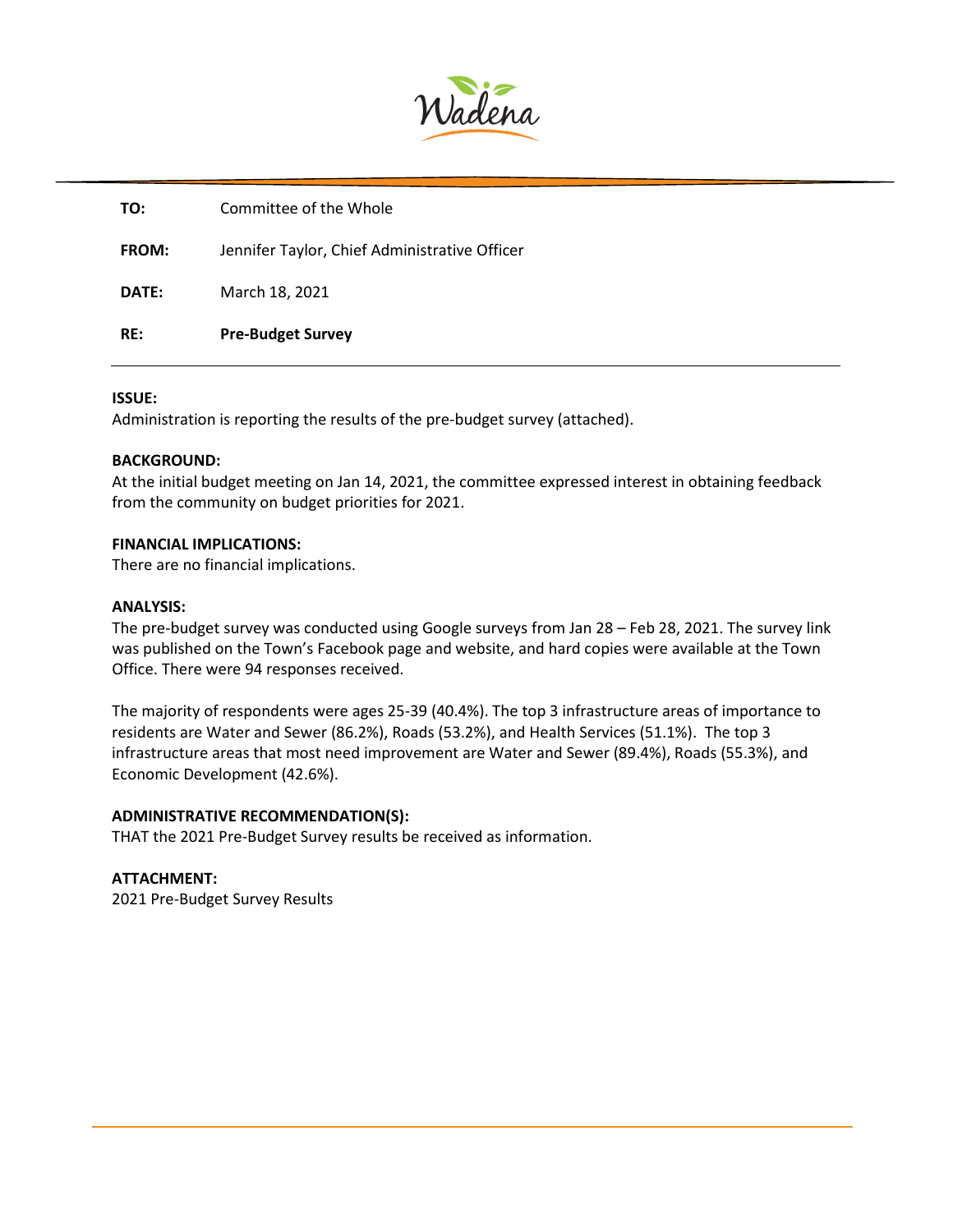

| TO:          | Committee of the Whole                        |
|--------------|-----------------------------------------------|
| <b>FROM:</b> | Jennifer Taylor, Chief Administrative Officer |
| DATE:        | March 18, 2021                                |
| RE:          | <b>Pre-Budget Survey</b>                      |

#### **ISSUE:**

Administration is reporting the results of the pre-budget survey (attached).

#### **BACKGROUND:**

At the initial budget meeting on Jan 14, 2021, the committee expressed interest in obtaining feedback from the community on budget priorities for 2021.

#### **FINANCIAL IMPLICATIONS:**

There are no financial implications.

#### **ANALYSIS:**

The pre-budget survey was conducted using Google surveys from Jan 28 – Feb 28, 2021. The survey link was published on the Town's Facebook page and website, and hard copies were available at the Town Office. There were 94 responses received.

The majority of respondents were ages 25-39 (40.4%). The top 3 infrastructure areas of importance to residents are Water and Sewer (86.2%), Roads (53.2%), and Health Services (51.1%). The top 3 infrastructure areas that most need improvement are Water and Sewer (89.4%), Roads (55.3%), and Economic Development (42.6%).

#### **ADMINISTRATIVE RECOMMENDATION(S):**

THAT the 2021 Pre-Budget Survey results be received as information.

**ATTACHMENT:** 2021 Pre-Budget Survey Results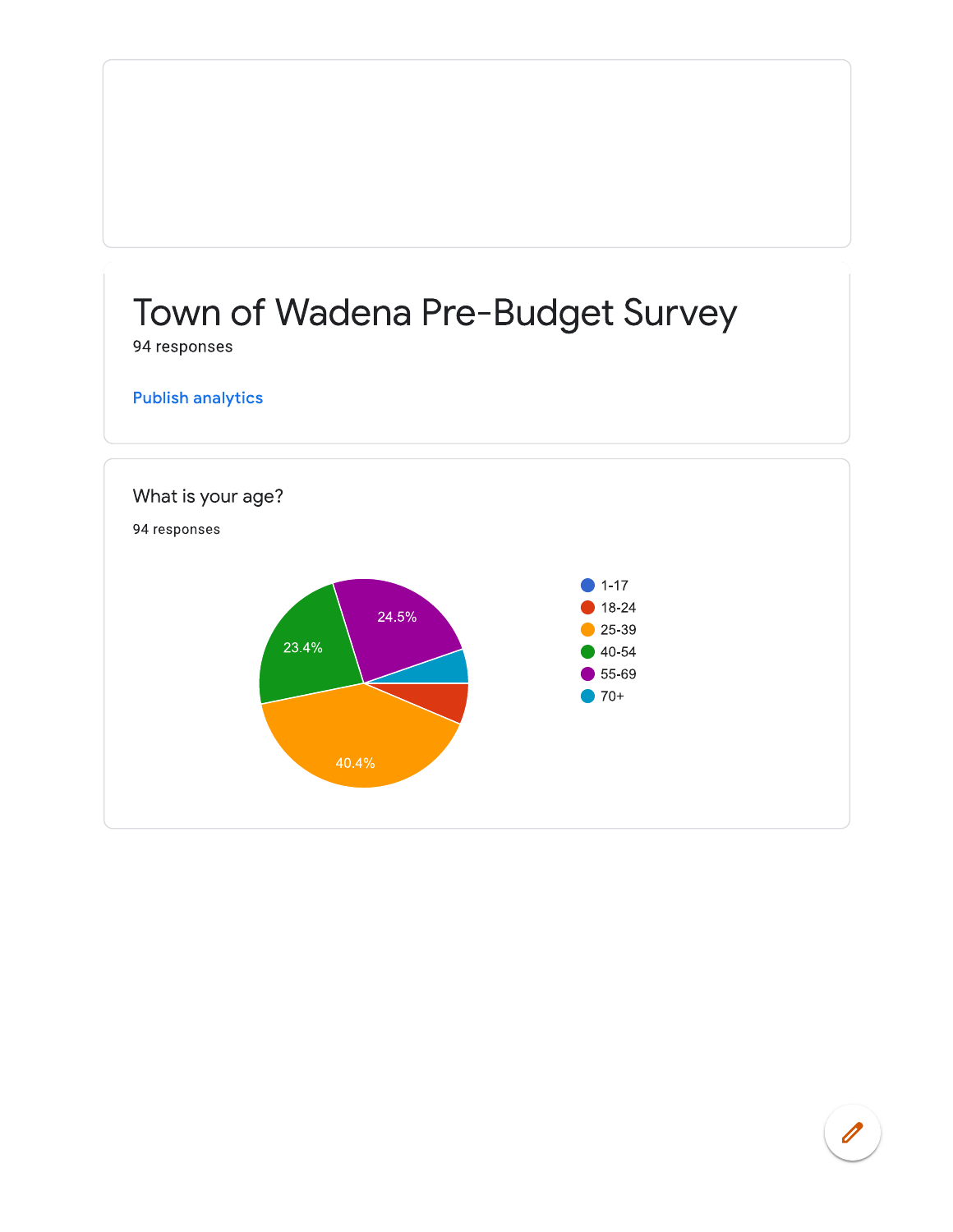# Town of Wadena Pre-Budget Survey 94 responses **Publish analytics** What is your age? 94 responses  $\blacksquare$  1-17 18-24 24.5%  $25-39$ 23.4%  $40-54$ 55-69  $\bigcirc$  70+ 40.4%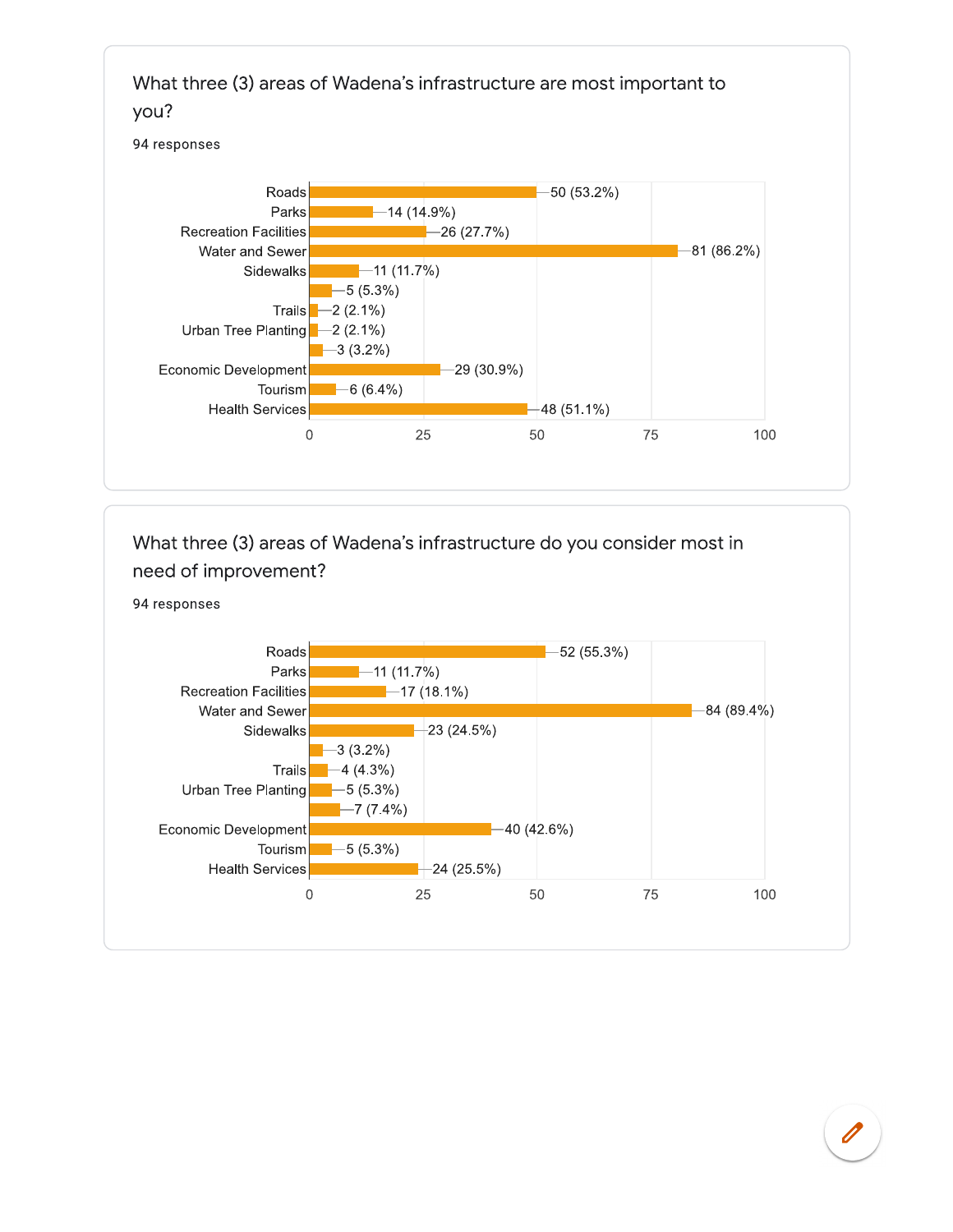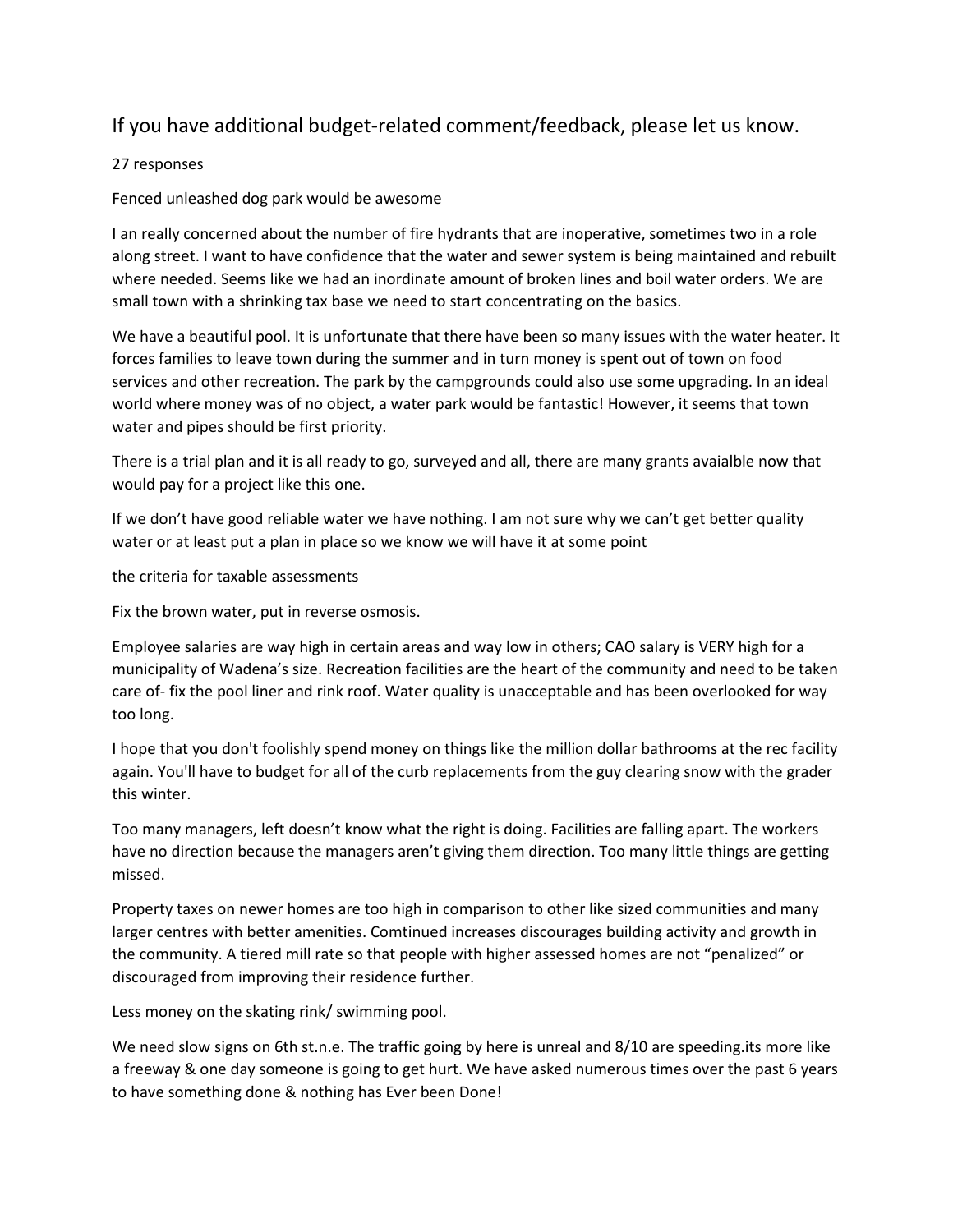## If you have additional budget-related comment/feedback, please let us know.

#### 27 responses

#### Fenced unleashed dog park would be awesome

I an really concerned about the number of fire hydrants that are inoperative, sometimes two in a role along street. I want to have confidence that the water and sewer system is being maintained and rebuilt where needed. Seems like we had an inordinate amount of broken lines and boil water orders. We are small town with a shrinking tax base we need to start concentrating on the basics.

We have a beautiful pool. It is unfortunate that there have been so many issues with the water heater. It forces families to leave town during the summer and in turn money is spent out of town on food services and other recreation. The park by the campgrounds could also use some upgrading. In an ideal world where money was of no object, a water park would be fantastic! However, it seems that town water and pipes should be first priority.

There is a trial plan and it is all ready to go, surveyed and all, there are many grants avaialble now that would pay for a project like this one.

If we don't have good reliable water we have nothing. I am not sure why we can't get better quality water or at least put a plan in place so we know we will have it at some point

the criteria for taxable assessments

Fix the brown water, put in reverse osmosis.

Employee salaries are way high in certain areas and way low in others; CAO salary is VERY high for a municipality of Wadena's size. Recreation facilities are the heart of the community and need to be taken care of- fix the pool liner and rink roof. Water quality is unacceptable and has been overlooked for way too long.

I hope that you don't foolishly spend money on things like the million dollar bathrooms at the rec facility again. You'll have to budget for all of the curb replacements from the guy clearing snow with the grader this winter.

Too many managers, left doesn't know what the right is doing. Facilities are falling apart. The workers have no direction because the managers aren't giving them direction. Too many little things are getting missed.

Property taxes on newer homes are too high in comparison to other like sized communities and many larger centres with better amenities. Comtinued increases discourages building activity and growth in the community. A tiered mill rate so that people with higher assessed homes are not "penalized" or discouraged from improving their residence further.

Less money on the skating rink/ swimming pool.

We need slow signs on 6th st.n.e. The traffic going by here is unreal and 8/10 are speeding.its more like a freeway & one day someone is going to get hurt. We have asked numerous times over the past 6 years to have something done & nothing has Ever been Done!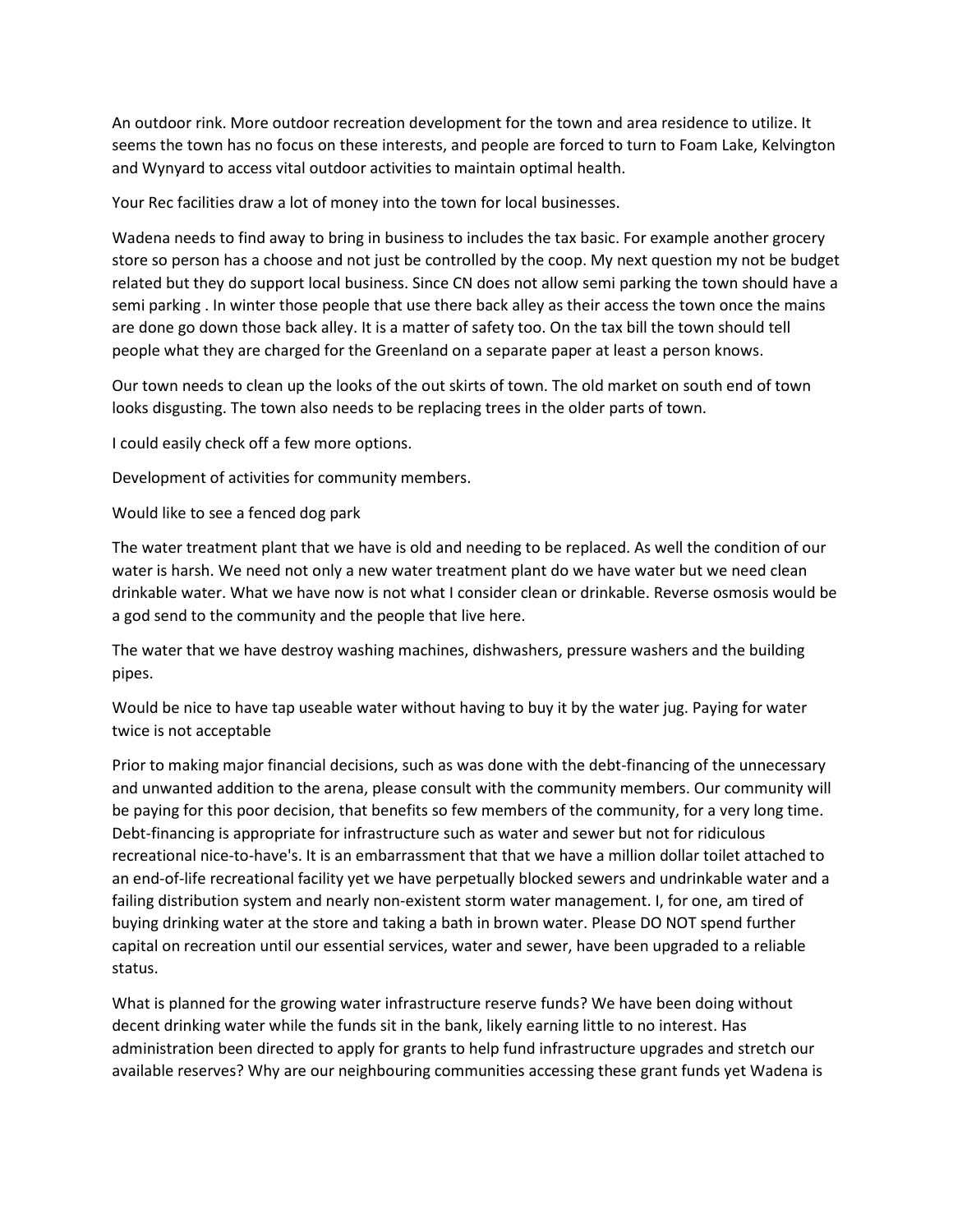An outdoor rink. More outdoor recreation development for the town and area residence to utilize. It seems the town has no focus on these interests, and people are forced to turn to Foam Lake, Kelvington and Wynyard to access vital outdoor activities to maintain optimal health.

Your Rec facilities draw a lot of money into the town for local businesses.

Wadena needs to find away to bring in business to includes the tax basic. For example another grocery store so person has a choose and not just be controlled by the coop. My next question my not be budget related but they do support local business. Since CN does not allow semi parking the town should have a semi parking . In winter those people that use there back alley as their access the town once the mains are done go down those back alley. It is a matter of safety too. On the tax bill the town should tell people what they are charged for the Greenland on a separate paper at least a person knows.

Our town needs to clean up the looks of the out skirts of town. The old market on south end of town looks disgusting. The town also needs to be replacing trees in the older parts of town.

I could easily check off a few more options.

Development of activities for community members.

Would like to see a fenced dog park

The water treatment plant that we have is old and needing to be replaced. As well the condition of our water is harsh. We need not only a new water treatment plant do we have water but we need clean drinkable water. What we have now is not what I consider clean or drinkable. Reverse osmosis would be a god send to the community and the people that live here.

The water that we have destroy washing machines, dishwashers, pressure washers and the building pipes.

Would be nice to have tap useable water without having to buy it by the water jug. Paying for water twice is not acceptable

Prior to making major financial decisions, such as was done with the debt-financing of the unnecessary and unwanted addition to the arena, please consult with the community members. Our community will be paying for this poor decision, that benefits so few members of the community, for a very long time. Debt-financing is appropriate for infrastructure such as water and sewer but not for ridiculous recreational nice-to-have's. It is an embarrassment that that we have a million dollar toilet attached to an end-of-life recreational facility yet we have perpetually blocked sewers and undrinkable water and a failing distribution system and nearly non-existent storm water management. I, for one, am tired of buying drinking water at the store and taking a bath in brown water. Please DO NOT spend further capital on recreation until our essential services, water and sewer, have been upgraded to a reliable status.

What is planned for the growing water infrastructure reserve funds? We have been doing without decent drinking water while the funds sit in the bank, likely earning little to no interest. Has administration been directed to apply for grants to help fund infrastructure upgrades and stretch our available reserves? Why are our neighbouring communities accessing these grant funds yet Wadena is